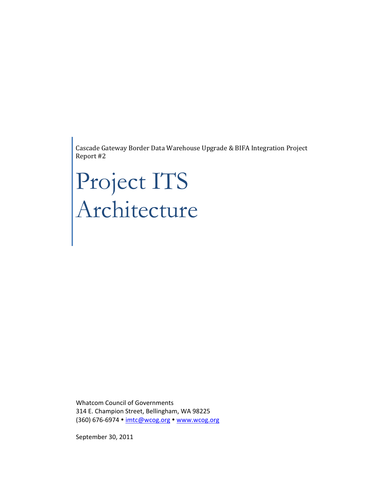Cascade Gateway Border Data Warehouse Upgrade & BIFA Integration Project Report #2

# Project ITS Architecture

Whatcom Council of Governments 314 E. Champion Street, Bellingham, WA 98225 (360) 676-6974 · imtc@wcog.org · www.wcog.org

September 30, 2011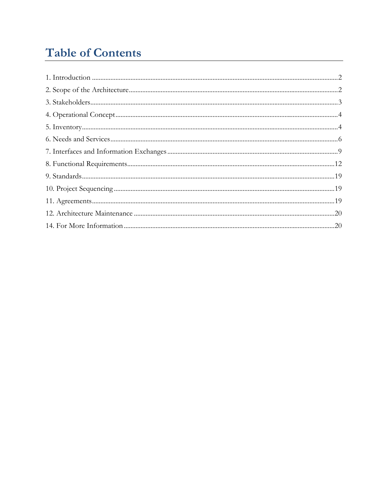# **Table of Contents**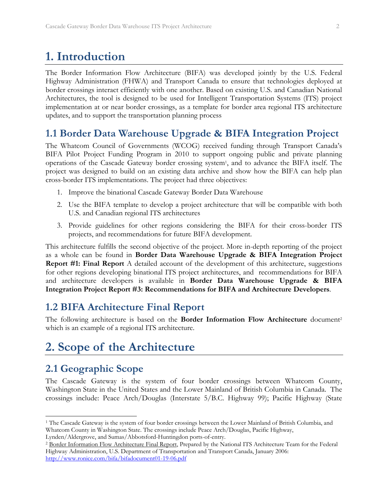## **1. Introduction**

The Border Information Flow Architecture (BIFA) was developed jointly by the U.S. Federal Highway Administration (FHWA) and Transport Canada to ensure that technologies deployed at border crossings interact efficiently with one another. Based on existing U.S. and Canadian National Architectures, the tool is designed to be used for Intelligent Transportation Systems (ITS) project implementation at or near border crossings, as a template for border area regional ITS architecture updates, and to support the transportation planning process

## **1.1 Border Data Warehouse Upgrade & BIFA Integration Project**

The Whatcom Council of Governments (WCOG) received funding through Transport Canada's BIFA Pilot Project Funding Program in 2010 to support ongoing public and private planning operations of the Cascade Gateway border crossing system1, and to advance the BIFA itself. The project was designed to build on an existing data archive and show how the BIFA can help plan cross-border ITS implementations. The project had three objectives:

- 1. Improve the binational Cascade Gateway Border Data Warehouse
- 2. Use the BIFA template to develop a project architecture that will be compatible with both U.S. and Canadian regional ITS architectures
- 3. Provide guidelines for other regions considering the BIFA for their cross-border ITS projects, and recommendations for future BIFA development.

This architecture fulfills the second objective of the project. More in-depth reporting of the project as a whole can be found in **Border Data Warehouse Upgrade & BIFA Integration Project Report #1: Final Report** A detailed account of the development of this architecture, suggestions for other regions developing binational ITS project architectures, and recommendations for BIFA and architecture developers is available in **Border Data Warehouse Upgrade & BIFA Integration Project Report #3: Recommendations for BIFA and Architecture Developers**.

## **1.2 BIFA Architecture Final Report**

The following architecture is based on the **Border Information Flow Architecture** document<sup>2</sup> which is an example of a regional ITS architecture.

## **2. Scope of the Architecture**

## **2.1 Geographic Scope**

The Cascade Gateway is the system of four border crossings between Whatcom County, Washington State in the United States and the Lower Mainland of British Columbia in Canada. The crossings include: Peace Arch/Douglas (Interstate 5/B.C. Highway 99); Pacific Highway (State

<sup>1</sup> The Cascade Gateway is the system of four border crossings between the Lower Mainland of British Columbia, and Whatcom County in Washington State. The crossings include Peace Arch/Douglas, Pacific Highway,

Lynden/Aldergrove, and Sumas/Abbotsford-Huntingdon ports-of-entry.<br><sup>2</sup> Border Information Flow Architecture Final Report, Prepared by the National ITS Architecture Team for the Federal Highway Administration, U.S. Department of Transportation and Transport Canada, January 2006: http://www.ronice.com/bifa/bifadocument01-19-06.pdf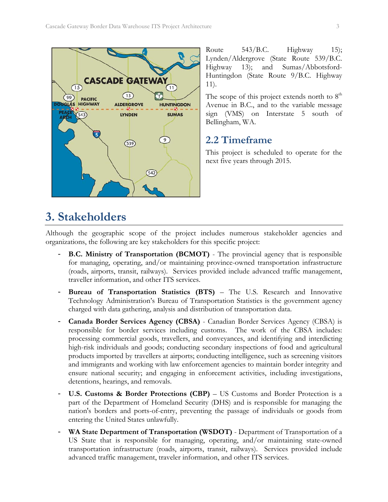

Route  $543/B.C.$  Highway 15); Lynden/Aldergrove (State Route 539/B.C. Highway 13); and Sumas/Abbotsford-Huntingdon (State Route 9/B.C. Highway 11).

The scope of this project extends north to  $8<sup>th</sup>$ Avenue in B.C., and to the variable message sign (VMS) on Interstate 5 south of Bellingham, WA.

## **2.2 Timeframe**

This project is scheduled to operate for the next five years through 2015.

## **3. Stakeholders**

Although the geographic scope of the project includes numerous stakeholder agencies and organizations, the following are key stakeholders for this specific project:

- **B.C. Ministry of Transportation (BCMOT)** The provincial agency that is responsible for managing, operating, and/or maintaining province-owned transportation infrastructure (roads, airports, transit, railways). Services provided include advanced traffic management, traveller information, and other ITS services.
- **Bureau of Transportation Statistics (BTS)** The U.S. Research and Innovative Technology Administration's Bureau of Transportation Statistics is the government agency charged with data gathering, analysis and distribution of transportation data.
- **Canada Border Services Agency (CBSA)**  Canadian Border Services Agency (CBSA) is responsible for border services including customs. The work of the CBSA includes: processing commercial goods, travellers, and conveyances, and identifying and interdicting high-risk individuals and goods; conducting secondary inspections of food and agricultural products imported by travellers at airports; conducting intelligence, such as screening visitors and immigrants and working with law enforcement agencies to maintain border integrity and ensure national security; and engaging in enforcement activities, including investigations, detentions, hearings, and removals.
- U.S. Customs & Border Protections (CBP) US Customs and Border Protection is a part of the Department of Homeland Security (DHS) and is responsible for managing the nation's borders and ports-of-entry, preventing the passage of individuals or goods from entering the United States unlawfully.
- WA State Department of Transportation (WSDOT) Department of Transportation of a US State that is responsible for managing, operating, and/or maintaining state-owned transportation infrastructure (roads, airports, transit, railways). Services provided include advanced traffic management, traveler information, and other ITS services.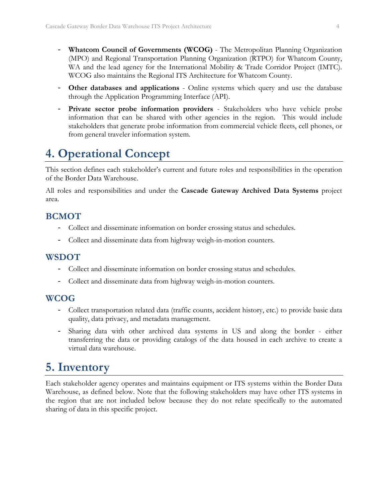- **Whatcom Council of Governments (WCOG)**  The Metropolitan Planning Organization (MPO) and Regional Transportation Planning Organization (RTPO) for Whatcom County, WA and the lead agency for the International Mobility & Trade Corridor Project (IMTC). WCOG also maintains the Regional ITS Architecture for Whatcom County.
- **Other databases and applications**  Online systems which query and use the database through the Application Programming Interface (API).
- **Private sector probe information providers**  Stakeholders who have vehicle probe information that can be shared with other agencies in the region. This would include stakeholders that generate probe information from commercial vehicle fleets, cell phones, or from general traveler information system.

## **4. Operational Concept**

This section defines each stakeholder's current and future roles and responsibilities in the operation of the Border Data Warehouse.

All roles and responsibilities and under the **Cascade Gateway Archived Data Systems** project area.

#### **BCMOT**

- Collect and disseminate information on border crossing status and schedules.
- Collect and disseminate data from highway weigh-in-motion counters.

#### **WSDOT**

- Collect and disseminate information on border crossing status and schedules.
- Collect and disseminate data from highway weigh-in-motion counters.

#### **WCOG**

- Collect transportation related data (traffic counts, accident history, etc.) to provide basic data quality, data privacy, and metadata management.
- Sharing data with other archived data systems in US and along the border either transferring the data or providing catalogs of the data housed in each archive to create a virtual data warehouse.

# **5. Inventory**

Each stakeholder agency operates and maintains equipment or ITS systems within the Border Data Warehouse, as defined below. Note that the following stakeholders may have other ITS systems in the region that are not included below because they do not relate specifically to the automated sharing of data in this specific project.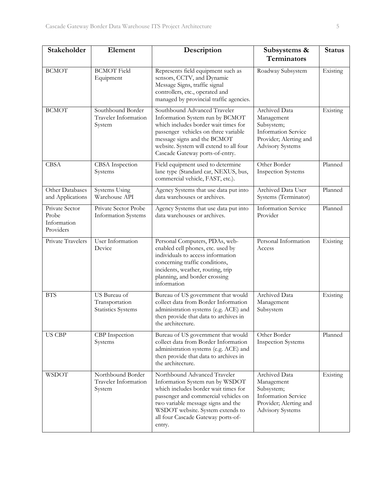| Stakeholder                                         | Element                                                                                                                                                                                                                                                                                                                    | Description                                                                                                                                                                                                                                                               | Subsystems &<br>Terminators                                                                                                  | <b>Status</b> |
|-----------------------------------------------------|----------------------------------------------------------------------------------------------------------------------------------------------------------------------------------------------------------------------------------------------------------------------------------------------------------------------------|---------------------------------------------------------------------------------------------------------------------------------------------------------------------------------------------------------------------------------------------------------------------------|------------------------------------------------------------------------------------------------------------------------------|---------------|
| <b>BCMOT</b>                                        | <b>BCMOT</b> Field<br>Equipment                                                                                                                                                                                                                                                                                            | Represents field equipment such as<br>sensors, CCTV, and Dynamic<br>Message Signs, traffic signal<br>controllers, etc., operated and<br>managed by provincial traffic agencies.                                                                                           | Roadway Subsystem                                                                                                            | Existing      |
| <b>BCMOT</b>                                        | Southbound Border<br>Southbound Advanced Traveler<br><b>Traveler Information</b><br>Information System run by BCMOT<br>which includes border wait times for<br>System<br>passenger vehicles on three variable<br>message signs and the BCMOT<br>website. System will extend to all four<br>Cascade Gateway ports-of-entry. |                                                                                                                                                                                                                                                                           | Archived Data<br>Management<br>Subsystem;<br><b>Information Service</b><br>Provider; Alerting and<br><b>Advisory Systems</b> | Existing      |
| <b>CBSA</b>                                         | CBSA Inspection<br>Systems                                                                                                                                                                                                                                                                                                 | Field equipment used to determine<br>lane type (Standard car, NEXUS, bus,<br>commercial vehicle, FAST, etc.).                                                                                                                                                             | Other Border<br><b>Inspection Systems</b>                                                                                    | Planned       |
| Other Databases<br>and Applications                 | Systems Using<br>Warehouse API                                                                                                                                                                                                                                                                                             | Agency Systems that use data put into<br>data warehouses or archives.                                                                                                                                                                                                     | Archived Data User<br>Systems (Terminator)                                                                                   | Planned       |
| Private Sector<br>Probe<br>Information<br>Providers | Private Sector Probe<br><b>Information Systems</b>                                                                                                                                                                                                                                                                         | Agency Systems that use data put into<br>data warehouses or archives.                                                                                                                                                                                                     | <b>Information Service</b><br>Provider                                                                                       | Planned       |
| Private Travelers                                   | <b>User Information</b><br>Device                                                                                                                                                                                                                                                                                          | Personal Computers, PDAs, web-<br>enabled cell phones, etc. used by<br>individuals to access information<br>concerning traffic conditions,<br>incidents, weather, routing, trip<br>planning, and border crossing<br>information                                           | Personal Information<br>Access                                                                                               | Existing      |
| <b>BTS</b>                                          | US Bureau of<br>Transportation<br><b>Statistics Systems</b>                                                                                                                                                                                                                                                                | Bureau of US government that would<br>collect data from Border Information<br>administration systems (e.g. ACE) and<br>then provide that data to archives in<br>the architecture.                                                                                         | <b>Archived Data</b><br>Management<br>Subsystem                                                                              | Existing      |
| <b>US CBP</b>                                       | CBP Inspection<br>Systems                                                                                                                                                                                                                                                                                                  | Bureau of US government that would<br>collect data from Border Information<br>administration systems (e.g. ACE) and<br>then provide that data to archives in<br>the architecture.                                                                                         | Other Border<br><b>Inspection Systems</b>                                                                                    | Planned       |
| <b>WSDOT</b>                                        | Northbound Border<br>Traveler Information<br>System                                                                                                                                                                                                                                                                        | Northbound Advanced Traveler<br>Information System run by WSDOT<br>which includes border wait times for<br>passenger and commercial vehicles on<br>two variable message signs and the<br>WSDOT website. System extends to<br>all four Cascade Gateway ports-of-<br>entry. | Archived Data<br>Management<br>Subsystem;<br><b>Information Service</b><br>Provider; Alerting and<br><b>Advisory Systems</b> | Existing      |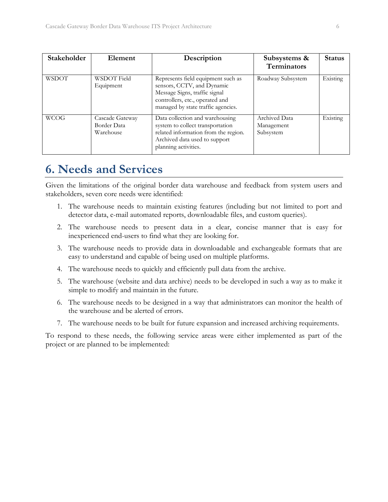| Stakeholder  | Element                                     | Description                                                                                                                                                                | Subsystems &<br><b>Terminators</b>              | <b>Status</b> |
|--------------|---------------------------------------------|----------------------------------------------------------------------------------------------------------------------------------------------------------------------------|-------------------------------------------------|---------------|
| <b>WSDOT</b> | WSDOT Field<br>Equipment                    | Represents field equipment such as<br>sensors, CCTV, and Dynamic<br>Message Signs, traffic signal<br>controllers, etc., operated and<br>managed by state traffic agencies. | Roadway Subsystem                               | Existing      |
| <b>WCOG</b>  | Cascade Gateway<br>Border Data<br>Warehouse | Data collection and warehousing<br>system to collect transportation<br>related information from the region.<br>Archived data used to support<br>planning activities.       | <b>Archived Data</b><br>Management<br>Subsystem | Existing      |

# **6. Needs and Services**

Given the limitations of the original border data warehouse and feedback from system users and stakeholders, seven core needs were identified:

- 1. The warehouse needs to maintain existing features (including but not limited to port and detector data, e-mail automated reports, downloadable files, and custom queries).
- 2. The warehouse needs to present data in a clear, concise manner that is easy for inexperienced end-users to find what they are looking for.
- 3. The warehouse needs to provide data in downloadable and exchangeable formats that are easy to understand and capable of being used on multiple platforms.
- 4. The warehouse needs to quickly and efficiently pull data from the archive.
- 5. The warehouse (website and data archive) needs to be developed in such a way as to make it simple to modify and maintain in the future.
- 6. The warehouse needs to be designed in a way that administrators can monitor the health of the warehouse and be alerted of errors.
- 7. The warehouse needs to be built for future expansion and increased archiving requirements.

To respond to these needs, the following service areas were either implemented as part of the project or are planned to be implemented: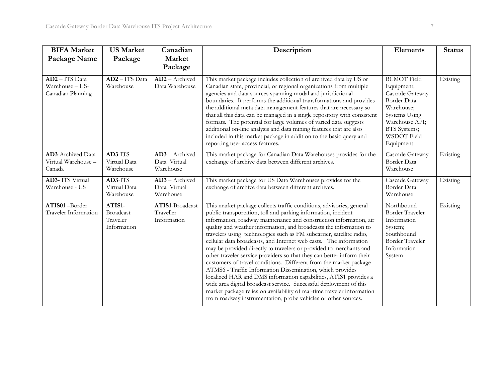| <b>BIFA Market</b><br>Package Name                       | <b>US Market</b><br>Package                           | Canadian<br>Market<br>Package                                                                                                                                                                                                                                                                                                                                                                                                                                                                                                                                                                                                                                                                                                                                                                                                                                                                                                                                                                                                                         | Description                                                                                                                                                                                                                                                                                                                                                                                                                                                                                                                                                                                                                                                                         | <b>Elements</b>                                                                                                                                                        | <b>Status</b> |
|----------------------------------------------------------|-------------------------------------------------------|-------------------------------------------------------------------------------------------------------------------------------------------------------------------------------------------------------------------------------------------------------------------------------------------------------------------------------------------------------------------------------------------------------------------------------------------------------------------------------------------------------------------------------------------------------------------------------------------------------------------------------------------------------------------------------------------------------------------------------------------------------------------------------------------------------------------------------------------------------------------------------------------------------------------------------------------------------------------------------------------------------------------------------------------------------|-------------------------------------------------------------------------------------------------------------------------------------------------------------------------------------------------------------------------------------------------------------------------------------------------------------------------------------------------------------------------------------------------------------------------------------------------------------------------------------------------------------------------------------------------------------------------------------------------------------------------------------------------------------------------------------|------------------------------------------------------------------------------------------------------------------------------------------------------------------------|---------------|
| AD2-ITS Data<br>Warehouse - US-<br>Canadian Planning     | AD2 - ITS Data<br>Warehouse                           | AD2 - Archived<br>Data Warehouse                                                                                                                                                                                                                                                                                                                                                                                                                                                                                                                                                                                                                                                                                                                                                                                                                                                                                                                                                                                                                      | This market package includes collection of archived data by US or<br>Canadian state, provincial, or regional organizations from multiple<br>agencies and data sources spanning modal and jurisdictional<br>boundaries. It performs the additional transformations and provides<br>the additional meta data management features that are necessary so<br>that all this data can be managed in a single repository with consistent<br>formats. The potential for large volumes of varied data suggests<br>additional on-line analysis and data mining features that are also<br>included in this market package in addition to the basic query and<br>reporting user access features. | <b>BCMOT</b> Field<br>Equipment;<br>Cascade Gateway<br>Border Data<br>Warehouse;<br>Systems Using<br>Warehouse API;<br><b>BTS</b> Systems;<br>WSDOT Field<br>Equipment | Existing      |
| <b>AD3-Archived Data</b><br>Virtual Warehouse-<br>Canada | AD3-ITS<br>Virtual Data<br>Warehouse                  | AD3 - Archived<br>Data Virtual<br>Warehouse                                                                                                                                                                                                                                                                                                                                                                                                                                                                                                                                                                                                                                                                                                                                                                                                                                                                                                                                                                                                           | This market package for Canadian Data Warehouses provides for the<br>exchange of archive data between different archives.                                                                                                                                                                                                                                                                                                                                                                                                                                                                                                                                                           | Cascade Gateway<br>Border Data<br>Warehouse                                                                                                                            | Existing      |
| <b>AD3-</b> ITS Virtual<br>Warehouse - US                | AD3-ITS<br>Virtual Data<br>Warehouse                  | AD3 - Archived<br>Data Virtual<br>Warehouse                                                                                                                                                                                                                                                                                                                                                                                                                                                                                                                                                                                                                                                                                                                                                                                                                                                                                                                                                                                                           | This market package for US Data Warehouses provides for the<br>exchange of archive data between different archives.                                                                                                                                                                                                                                                                                                                                                                                                                                                                                                                                                                 | Cascade Gateway<br><b>Border Data</b><br>Warehouse                                                                                                                     | Existing      |
| ATIS01-Border<br>Traveler Information                    | ATIS1-<br><b>Broadcast</b><br>Traveler<br>Information | This market package collects traffic conditions, advisories, general<br>ATIS1-Broadcast<br>public transportation, toll and parking information, incident<br>Traveller<br>information, roadway maintenance and construction information, air<br>Information<br>quality and weather information, and broadcasts the information to<br>travelers using technologies such as FM subcarrier, satellite radio,<br>cellular data broadcasts, and Internet web casts. The information<br>may be provided directly to travelers or provided to merchants and<br>other traveler service providers so that they can better inform their<br>customers of travel conditions. Different from the market package<br>ATMS6 - Traffic Information Dissemination, which provides<br>localized HAR and DMS information capabilities, ATIS1 provides a<br>wide area digital broadcast service. Successful deployment of this<br>market package relies on availability of real-time traveler information<br>from roadway instrumentation, probe vehicles or other sources. |                                                                                                                                                                                                                                                                                                                                                                                                                                                                                                                                                                                                                                                                                     | Northbound<br><b>Border Traveler</b><br>Information<br>System;<br>Southbound<br><b>Border Traveler</b><br>Information<br>System                                        | Existing      |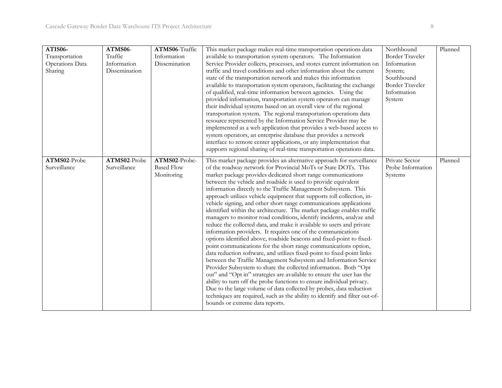| ATIS06-<br>Transportation<br>Operations Data<br>Sharing | ATMS06-<br>Traffic<br>Information<br>Dissemination | ATMS06-Traffic<br>Information<br>Dissemination   | This market package makes real-time transportation operations data<br>available to transportation system operators. The Information<br>Service Provider collects, processes, and stores current information on<br>traffic and travel conditions and other information about the current<br>state of the transportation network and makes this information<br>available to transportation system operators, facilitating the exchange<br>of qualified, real-time information between agencies. Using the<br>provided information, transportation system operators can manage<br>their individual systems based on an overall view of the regional<br>transportation system. The regional transportation operations data<br>resource represented by the Information Service Provider may be<br>implemented as a web application that provides a web-based access to<br>system operators, an enterprise database that provides a network<br>interface to remote center applications, or any implementation that<br>supports regional sharing of real-time transportation operations data.                                                                                                                                                                                                                                                                                                                                                                                                         | Northbound<br>Border Traveler<br>Information<br>System;<br>Southbound<br><b>Border Traveler</b><br>Information<br>System | Planned |
|---------------------------------------------------------|----------------------------------------------------|--------------------------------------------------|------------------------------------------------------------------------------------------------------------------------------------------------------------------------------------------------------------------------------------------------------------------------------------------------------------------------------------------------------------------------------------------------------------------------------------------------------------------------------------------------------------------------------------------------------------------------------------------------------------------------------------------------------------------------------------------------------------------------------------------------------------------------------------------------------------------------------------------------------------------------------------------------------------------------------------------------------------------------------------------------------------------------------------------------------------------------------------------------------------------------------------------------------------------------------------------------------------------------------------------------------------------------------------------------------------------------------------------------------------------------------------------------------------------------------------------------------------------------------------------------|--------------------------------------------------------------------------------------------------------------------------|---------|
| ATMS02-Probe<br>Surveillance                            | ATMS02-Probe<br>Surveillance                       | ATMS02-Probe-<br><b>Based Flow</b><br>Monitoring | This market package provides an alternative approach for surveillance<br>of the roadway network for Provincial MoTs or State DOTs. This<br>market package provides dedicated short range communications<br>between the vehicle and roadside is used to provide equivalent<br>information directly to the Traffic Management Subsystem. This<br>approach utilizes vehicle equipment that supports toll collection, in-<br>vehicle signing, and other short range communications applications<br>identified within the architecture. The market package enables traffic<br>managers to monitor road conditions, identify incidents, analyze and<br>reduce the collected data, and make it available to users and private<br>information providers. It requires one of the communications<br>options identified above, roadside beacons and fixed-point to fixed-<br>point communications for the short range communications option,<br>data reduction software, and utilizes fixed-point to fixed-point links<br>between the Traffic Management Subsystem and Information Service<br>Provider Subsystem to share the collected information. Both "Opt<br>out" and "Opt in" strategies are available to ensure the user has the<br>ability to turn off the probe functions to ensure individual privacy.<br>Due to the large volume of data collected by probes, data reduction<br>techniques are required, such as the ability to identify and filter out-of-<br>bounds or extreme data reports. | Private Sector<br>Probe Information<br>Systems                                                                           | Planned |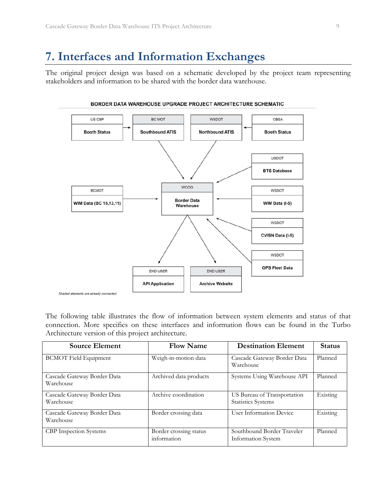## **7. Interfaces and Information Exchanges**

The original project design was based on a schematic developed by the project team representing stakeholders and information to be shared with the border data warehouse.



BORDER DATA WAREHOUSE UPGRADE PROJECT ARCHITECTURE SCHEMATIC

The following table illustrates the flow of information between system elements and status of that connection. More specifics on these interfaces and information flows can be found in the Turbo Architecture version of this project architecture.

| <b>Source Element</b>                    | <b>Flow Name</b>                      | <b>Destination Element</b>                               | <b>Status</b> |
|------------------------------------------|---------------------------------------|----------------------------------------------------------|---------------|
| <b>BCMOT</b> Field Equipment             | Weigh-in-motion data                  | Cascade Gateway Border Data<br>Warehouse                 | Planned       |
| Cascade Gateway Border Data<br>Warehouse | Archived data products                | Systems Using Warehouse API                              | Planned       |
| Cascade Gateway Border Data<br>Warehouse | Archive coordination                  | US Bureau of Transportation<br><b>Statistics Systems</b> | Existing      |
| Cascade Gateway Border Data<br>Warehouse | Border crossing data                  | User Information Device                                  | Existing      |
| <b>CBP</b> Inspection Systems            | Border crossing status<br>information | Southbound Border Traveler<br>Information System         | Planned       |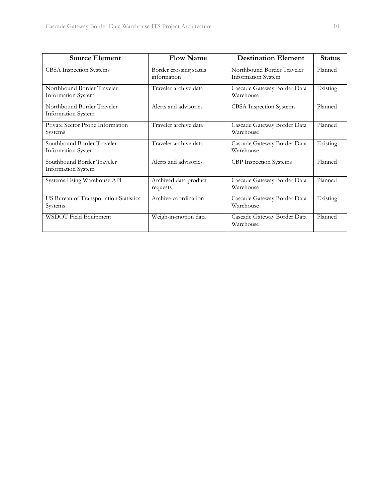| <b>Source Element</b>                             | <b>Flow Name</b>                      | <b>Destination Element</b>                       | <b>Status</b> |  |
|---------------------------------------------------|---------------------------------------|--------------------------------------------------|---------------|--|
| CBSA Inspection Systems                           | Border crossing status<br>information | Northbound Border Traveler<br>Information System | Planned       |  |
| Northbound Border Traveler<br>Information System  | Traveler archive data                 | Cascade Gateway Border Data<br>Warehouse         | Existing      |  |
| Northbound Border Traveler<br>Information System  | Alerts and advisories                 | <b>CBSA</b> Inspection Systems                   | Planned       |  |
| Private Sector Probe Information<br>Systems       | Traveler archive data                 | Cascade Gateway Border Data<br>Warehouse         | Planned       |  |
| Southbound Border Traveler<br>Information System  | Traveler archive data                 | Cascade Gateway Border Data<br>Warehouse         | Existing      |  |
| Southbound Border Traveler<br>Information System  | Alerts and advisories                 | CBP Inspection Systems                           | Planned       |  |
| Systems Using Warehouse API                       | Archived data product<br>requests     | Cascade Gateway Border Data<br>Warehouse         | Planned       |  |
| US Bureau of Transportation Statistics<br>Systems | Archive coordination                  | Cascade Gateway Border Data<br>Warehouse         | Existing      |  |
| WSDOT Field Equipment                             | Weigh-in-motion data                  | Cascade Gateway Border Data<br>Warehouse         | Planned       |  |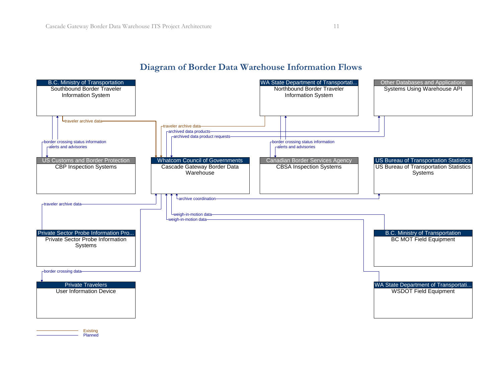#### **Diagram of Border Data Warehouse Information Flows**



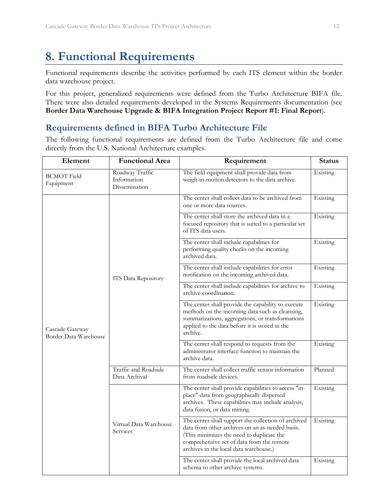# **8. Functional Requirements**

Functional requirements describe the activities performed by each ITS element within the border data warehouse project.

For this project, generalized requirements were defined from the Turbo Architecture BIFA file. There were also detailed requirements developed in the Systems Requirements documentation (see **Border Data Warehouse Upgrade & BIFA Integration Project Report #1: Final Report**).

#### **Requirements defined in BIFA Turbo Architecture File**

The following functional requirements are defined from the Turbo Architecture file and come directly from the U.S. National Architecture examples.

| Element                                  | <b>Functional Area</b><br>Requirement           |                                                                                                                                                                                                                                            | <b>Status</b> |
|------------------------------------------|-------------------------------------------------|--------------------------------------------------------------------------------------------------------------------------------------------------------------------------------------------------------------------------------------------|---------------|
| <b>BCMOT Field</b><br>Equipment          | Roadway Traffic<br>Information<br>Dissemination | Existing                                                                                                                                                                                                                                   |               |
|                                          |                                                 | The center shall collect data to be archived from<br>one or more data sources.                                                                                                                                                             | Existing      |
|                                          |                                                 | The center shall store the archived data in a<br>focused repository that is suited to a particular set<br>of ITS data users.                                                                                                               | Existing      |
|                                          | ITS Data Repository                             | The center shall include capabilities for<br>performing quality checks on the incoming<br>archived data.                                                                                                                                   | Existing      |
|                                          |                                                 | The center shall include capabilities for error<br>notification on the incoming archived data.                                                                                                                                             | Existing      |
|                                          |                                                 | The center shall include capabilities for archive to<br>archive coordination.                                                                                                                                                              | Existing      |
| Cascade Gateway<br>Border Data Warehouse |                                                 | The center shall provide the capability to execute<br>methods on the incoming data such as cleansing,<br>summarizations, aggregations, or transformations<br>applied to the data before it is stored in the<br>archive.                    | Existing      |
|                                          |                                                 | The center shall respond to requests from the<br>administrator interface function to maintain the<br>archive data.                                                                                                                         | Existing      |
|                                          | Traffic and Roadside<br>Data Archival           | The center shall collect traffic sensor information<br>from roadside devices.                                                                                                                                                              | Planned       |
|                                          |                                                 | The center shall provide capabilities to access "in-<br>place" data from geographically dispersed<br>archives. These capabilities may include analysis,<br>data fusion, or data mining.                                                    | Existing      |
|                                          | Virtual Data Warehouse<br>Services              | The center shall support the collection of archived<br>data from other archives on an as-needed basis.<br>(This minimizes the need to duplicate the<br>comprehensive set of data from the remote<br>archives in the local data warehouse.) | Existing      |
|                                          |                                                 | The center shall provide the local archived data<br>schema to other archive systems.                                                                                                                                                       | Existing      |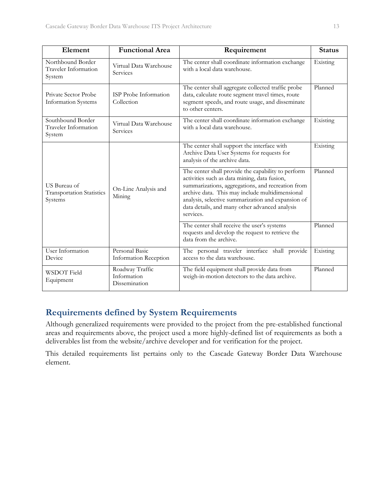| Element                                                     | <b>Functional Area</b>                          | Requirement                                                                                                                                                                                                                                                                                                                     | <b>Status</b> |
|-------------------------------------------------------------|-------------------------------------------------|---------------------------------------------------------------------------------------------------------------------------------------------------------------------------------------------------------------------------------------------------------------------------------------------------------------------------------|---------------|
| Northbound Border<br>Traveler Information<br>System         | Virtual Data Warehouse<br>Services              | The center shall coordinate information exchange<br>with a local data warehouse.                                                                                                                                                                                                                                                | Existing      |
| Private Sector Probe<br><b>Information Systems</b>          | ISP Probe Information<br>Collection             | The center shall aggregate collected traffic probe<br>data, calculate route segment travel times, route<br>segment speeds, and route usage, and disseminate<br>to other centers.                                                                                                                                                | Planned       |
| Southbound Border<br>Traveler Information<br>System         | Virtual Data Warehouse<br>Services              | The center shall coordinate information exchange<br>with a local data warehouse.                                                                                                                                                                                                                                                | Existing      |
|                                                             |                                                 | The center shall support the interface with<br>Archive Data User Systems for requests for<br>analysis of the archive data.                                                                                                                                                                                                      | Existing      |
| US Bureau of<br><b>Transportation Statistics</b><br>Systems | On-Line Analysis and<br>Mining                  | The center shall provide the capability to perform<br>activities such as data mining, data fusion,<br>summarizations, aggregations, and recreation from<br>archive data. This may include multidimensional<br>analysis, selective summarization and expansion of<br>data details, and many other advanced analysis<br>services. | Planned       |
|                                                             |                                                 | The center shall receive the user's systems<br>requests and develop the request to retrieve the<br>data from the archive.                                                                                                                                                                                                       | Planned       |
| User Information<br>Device                                  | Personal Basic<br>Information Reception         | The personal traveler interface shall provide<br>access to the data warehouse.                                                                                                                                                                                                                                                  | Existing      |
| <b>WSDOT</b> Field<br>Equipment                             | Roadway Traffic<br>Information<br>Dissemination | The field equipment shall provide data from<br>weigh-in-motion detectors to the data archive.                                                                                                                                                                                                                                   | Planned       |

## **Requirements defined by System Requirements**

Although generalized requirements were provided to the project from the pre-established functional areas and requirements above, the project used a more highly-defined list of requirements as both a deliverables list from the website/archive developer and for verification for the project.

This detailed requirements list pertains only to the Cascade Gateway Border Data Warehouse element.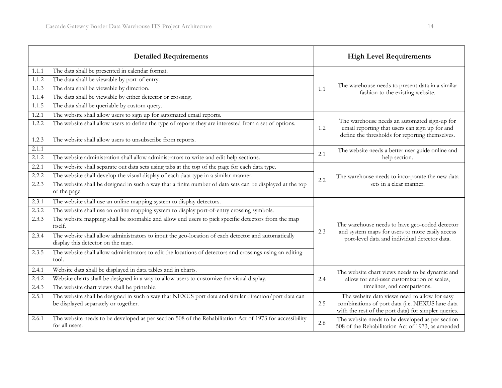|       | <b>Detailed Requirements</b>                                                                                                                 |     | <b>High Level Requirements</b>                                                                                                                           |  |
|-------|----------------------------------------------------------------------------------------------------------------------------------------------|-----|----------------------------------------------------------------------------------------------------------------------------------------------------------|--|
| 1.1.1 | The data shall be presented in calendar format.                                                                                              |     |                                                                                                                                                          |  |
| 1.1.2 | The data shall be viewable by port-of-entry.                                                                                                 |     |                                                                                                                                                          |  |
| 1.1.3 | The data shall be viewable by direction.                                                                                                     | 1.1 | The warehouse needs to present data in a similar<br>fashion to the existing website.                                                                     |  |
| 1.1.4 | The data shall be viewable by either detector or crossing.                                                                                   |     |                                                                                                                                                          |  |
| 1.1.5 | The data shall be queriable by custom query.                                                                                                 |     |                                                                                                                                                          |  |
| 1.2.1 | The website shall allow users to sign up for automated email reports.                                                                        |     |                                                                                                                                                          |  |
| 1.2.2 | The website shall allow users to define the type of reports they are interested from a set of options.                                       | 1.2 | The warehouse needs an automated sign-up for<br>email reporting that users can sign up for and<br>define the thresholds for reporting themselves.        |  |
| 1.2.3 | The website shall allow users to unsubscribe from reports.                                                                                   |     |                                                                                                                                                          |  |
| 2.1.1 |                                                                                                                                              |     | The website needs a better user guide online and                                                                                                         |  |
| 2.1.2 | The website administration shall allow administrators to write and edit help sections.                                                       | 2.1 | help section.                                                                                                                                            |  |
| 2.2.1 | The website shall separate out data sets using tabs at the top of the page for each data type.                                               |     |                                                                                                                                                          |  |
| 2.2.2 | The website shall develop the visual display of each data type in a similar manner.                                                          | 2.2 | The warehouse needs to incorporate the new data                                                                                                          |  |
| 2.2.3 | The website shall be designed in such a way that a finite number of data sets can be displayed at the top<br>of the page.                    |     | sets in a clear manner.                                                                                                                                  |  |
| 2.3.1 | The website shall use an online mapping system to display detectors.                                                                         |     |                                                                                                                                                          |  |
| 2.3.2 | The website shall use an online mapping system to display port-of-entry crossing symbols.                                                    |     |                                                                                                                                                          |  |
| 2.3.3 | The website mapping shall be zoomable and allow end users to pick specific detectors from the map<br>itself.                                 |     | The warehouse needs to have geo-coded detector                                                                                                           |  |
| 2.3.4 | The website shall allow administrators to input the geo-location of each detector and automatically<br>display this detector on the map.     | 2.3 | and system maps for users to more easily access<br>port-level data and individual detector data.                                                         |  |
| 2.3.5 | The website shall allow administrators to edit the locations of detectors and crossings using an editing<br>tool.                            |     |                                                                                                                                                          |  |
| 2.4.1 | Website data shall be displayed in data tables and in charts.                                                                                |     | The website chart views needs to be dynamic and                                                                                                          |  |
| 2.4.2 | Website charts shall be designed in a way to allow users to customize the visual display.                                                    | 2.4 | allow for end-user customization of scales,                                                                                                              |  |
| 2.4.3 | The website chart views shall be printable.                                                                                                  |     | timelines, and comparisons.                                                                                                                              |  |
| 2.5.1 | The website shall be designed in such a way that NEXUS port data and similar direction/port data can<br>be displayed separately or together. | 2.5 | The website data views need to allow for easy<br>combinations of port data (i.e. NEXUS lane data<br>with the rest of the port data) for simpler queries. |  |
| 2.6.1 | The website needs to be developed as per section 508 of the Rehabilitation Act of 1973 for accessibility<br>for all users.                   | 2.6 | The website needs to be developed as per section<br>508 of the Rehabilitation Act of 1973, as amended                                                    |  |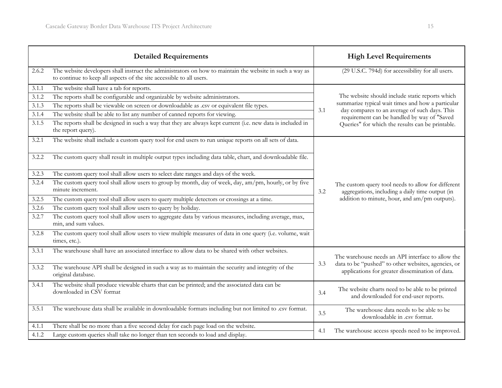|       | <b>Detailed Requirements</b>                                                                                                                                                     |     | <b>High Level Requirements</b>                                                                                                                         |  |
|-------|----------------------------------------------------------------------------------------------------------------------------------------------------------------------------------|-----|--------------------------------------------------------------------------------------------------------------------------------------------------------|--|
| 2.6.2 | The website developers shall instruct the administrators on how to maintain the website in such a way as<br>to continue to keep all aspects of the site accessible to all users. |     | (29 U.S.C. 794d) for accessibility for all users.                                                                                                      |  |
| 3.1.1 | The website shall have a tab for reports.                                                                                                                                        |     |                                                                                                                                                        |  |
| 3.1.2 | The reports shall be configurable and organizable by website administrators.                                                                                                     |     | The website should include static reports which                                                                                                        |  |
| 3.1.3 | The reports shall be viewable on screen or downloadable as .csv or equivalent file types.                                                                                        |     | summarize typical wait times and how a particular                                                                                                      |  |
| 3.1.4 | The website shall be able to list any number of canned reports for viewing.                                                                                                      | 3.1 | day compares to an average of such days. This<br>requirement can be handled by way of "Saved                                                           |  |
| 3.1.5 | The reports shall be designed in such a way that they are always kept current (i.e. new data is included in<br>the report query).                                                |     | Queries" for which the results can be printable.                                                                                                       |  |
| 3.2.1 | The website shall include a custom query tool for end users to run unique reports on all sets of data.                                                                           |     |                                                                                                                                                        |  |
| 3.2.2 | The custom query shall result in multiple output types including data table, chart, and downloadable file.                                                                       |     |                                                                                                                                                        |  |
| 3.2.3 | The custom query tool shall allow users to select date ranges and days of the week.                                                                                              |     |                                                                                                                                                        |  |
| 3.2.4 | The custom query tool shall allow users to group by month, day of week, day, am/pm, hourly, or by five<br>minute increment.                                                      | 3.2 | The custom query tool needs to allow for different<br>aggregations, including a daily time output (in<br>addition to minute, hour, and am/pm outputs). |  |
| 3.2.5 | The custom query tool shall allow users to query multiple detectors or crossings at a time.                                                                                      |     |                                                                                                                                                        |  |
| 3.2.6 | The custom query tool shall allow users to query by holiday.                                                                                                                     |     |                                                                                                                                                        |  |
| 3.2.7 | The custom query tool shall allow users to aggregate data by various measures, including average, max,<br>min, and sum values.                                                   |     |                                                                                                                                                        |  |
| 3.2.8 | The custom query tool shall allow users to view multiple measures of data in one query (i.e. volume, wait<br>times, etc.).                                                       |     |                                                                                                                                                        |  |
| 3.3.1 | The warehouse shall have an associated interface to allow data to be shared with other websites.                                                                                 |     | The warehouse needs an API interface to allow the                                                                                                      |  |
| 3.3.2 | The warehouse API shall be designed in such a way as to maintain the security and integrity of the<br>original database.                                                         | 3.3 | data to be "pushed" to other websites, agencies, or<br>applications for greater dissemination of data.                                                 |  |
| 3.4.1 | The website shall produce viewable charts that can be printed; and the associated data can be<br>downloaded in CSV format                                                        | 3.4 | The website charts need to be able to be printed<br>and downloaded for end-user reports.                                                               |  |
| 3.5.1 | The warehouse data shall be available in downloadable formats including but not limited to .csv format.                                                                          | 3.5 | The warehouse data needs to be able to be<br>downloadable in .csv format.                                                                              |  |
| 4.1.1 | There shall be no more than a five second delay for each page load on the website.                                                                                               |     |                                                                                                                                                        |  |
| 4.1.2 | Large custom queries shall take no longer than ten seconds to load and display.                                                                                                  | 4.1 | The warehouse access speeds need to be improved.                                                                                                       |  |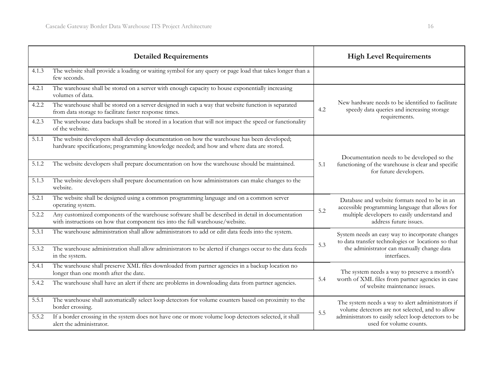|       | <b>Detailed Requirements</b>                                                                                                                                                             |     | <b>High Level Requirements</b>                                                                                   |  |
|-------|------------------------------------------------------------------------------------------------------------------------------------------------------------------------------------------|-----|------------------------------------------------------------------------------------------------------------------|--|
| 4.1.3 | The website shall provide a loading or waiting symbol for any query or page load that takes longer than a<br>few seconds.                                                                |     |                                                                                                                  |  |
| 4.2.1 | The warehouse shall be stored on a server with enough capacity to house exponentially increasing<br>volumes of data.                                                                     |     |                                                                                                                  |  |
| 4.2.2 | The warehouse shall be stored on a server designed in such a way that website function is separated<br>from data storage to facilitate faster response times.                            | 4.2 | New hardware needs to be identified to facilitate<br>speedy data queries and increasing storage<br>requirements. |  |
| 4.2.3 | The warehouse data backups shall be stored in a location that will not impact the speed or functionality<br>of the website.                                                              |     |                                                                                                                  |  |
| 5.1.1 | The website developers shall develop documentation on how the warehouse has been developed;<br>hardware specifications; programming knowledge needed; and how and where data are stored. |     | Documentation needs to be developed so the                                                                       |  |
| 5.1.2 | The website developers shall prepare documentation on how the warehouse should be maintained.                                                                                            | 5.1 | functioning of the warehouse is clear and specific<br>for future developers.                                     |  |
| 5.1.3 | The website developers shall prepare documentation on how administrators can make changes to the<br>website.                                                                             |     |                                                                                                                  |  |
| 5.2.1 | The website shall be designed using a common programming language and on a common server<br>operating system.                                                                            |     | Database and website formats need to be in an<br>accessible programming language that allows for                 |  |
| 5.2.2 | Any customized components of the warehouse software shall be described in detail in documentation<br>with instructions on how that component ties into the full warehouse/website.       | 5.2 | multiple developers to easily understand and<br>address future issues.                                           |  |
| 5.3.1 | The warehouse administration shall allow administrators to add or edit data feeds into the system.                                                                                       |     | System needs an easy way to incorporate changes<br>to data transfer technologies or locations so that            |  |
| 5.3.2 | The warehouse administration shall allow administrators to be alerted if changes occur to the data feeds<br>in the system.                                                               | 5.3 | the administrator can manually change data<br>interfaces.                                                        |  |
| 5.4.1 | The warehouse shall preserve XML files downloaded from partner agencies in a backup location no<br>longer than one month after the date.                                                 |     | The system needs a way to preserve a month's                                                                     |  |
| 5.4.2 | The warehouse shall have an alert if there are problems in downloading data from partner agencies.                                                                                       | 5.4 | worth of XML files from partner agencies in case<br>of website maintenance issues.                               |  |
| 5.5.1 | The warehouse shall automatically select loop detectors for volume counters based on proximity to the<br>border crossing.                                                                |     | The system needs a way to alert administrators if<br>volume detectors are not selected, and to allow             |  |
| 5.5.2 | If a border crossing in the system does not have one or more volume loop detectors selected, it shall<br>alert the administrator.                                                        | 5.5 | administrators to easily select loop detectors to be<br>used for volume counts.                                  |  |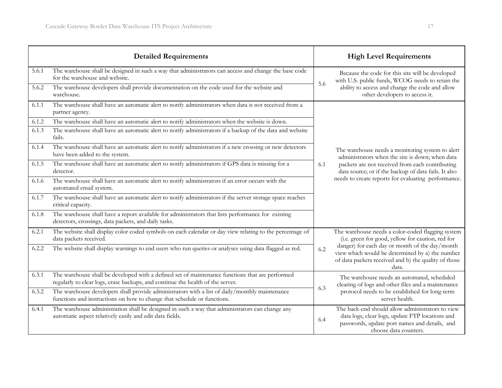| <b>Detailed Requirements</b> |                                                                                                                                                                                   |     | <b>High Level Requirements</b>                                                                                                                                                                                                                                               |
|------------------------------|-----------------------------------------------------------------------------------------------------------------------------------------------------------------------------------|-----|------------------------------------------------------------------------------------------------------------------------------------------------------------------------------------------------------------------------------------------------------------------------------|
| 5.6.1                        | The warehouse shall be designed in such a way that administrators can access and change the base code<br>for the warehouse and website.                                           | 5.6 | Because the code for this site will be developed<br>with U.S. public funds, WCOG needs to retain the<br>ability to access and change the code and allow<br>other developers to access it.                                                                                    |
| 5.6.2                        | The warehouse developers shall provide documentation on the code used for the website and<br>warehouse.                                                                           |     |                                                                                                                                                                                                                                                                              |
| 6.1.1                        | The warehouse shall have an automatic alert to notify administrators when data is not received from a<br>partner agency.                                                          | 6.1 | The warehouse needs a monitoring system to alert<br>administrators when the site is down; when data<br>packets are not received from each contributing<br>data source; or if the backup of data fails. It also<br>needs to create reports for evaluating performance.        |
| 6.1.2                        | The warehouse shall have an automatic alert to notify administrators when the website is down.                                                                                    |     |                                                                                                                                                                                                                                                                              |
| 6.1.3                        | The warehouse shall have an automatic alert to notify administrators if a backup of the data and website<br>fails.                                                                |     |                                                                                                                                                                                                                                                                              |
| 6.1.4                        | The warehouse shall have an automatic alert to notify administrators if a new crossing or new detectors<br>have been added to the system.                                         |     |                                                                                                                                                                                                                                                                              |
| 6.1.5                        | The warehouse shall have an automatic alert to notify administrators if GPS data is missing for a<br>detector.                                                                    |     |                                                                                                                                                                                                                                                                              |
| 6.1.6                        | The warehouse shall have an automatic alert to notify administrators if an error occurs with the<br>automated email system.                                                       |     |                                                                                                                                                                                                                                                                              |
| 6.1.7                        | The warehouse shall have an automatic alert to notify administrators if the server storage space reaches<br>critical capacity.                                                    |     |                                                                                                                                                                                                                                                                              |
| 6.1.8                        | The warehouse shall have a report available for administrators that lists performance for existing<br>detectors, crossings, data packets, and daily tasks.                        |     |                                                                                                                                                                                                                                                                              |
| 6.2.1                        | The website shall display color coded symbols on each calendar or day view relating to the percentage of<br>data packets received.                                                |     | The warehouse needs a color-coded flagging system<br>(i.e. green for good, yellow for caution, red for<br>danger) for each day or month of the day/month<br>view which would be determined by a) the number<br>of data packets received and b) the quality of those<br>data. |
| 6.2.2                        | The website shall display warnings to end users who run queries or analyses using data flagged as red.                                                                            | 6.2 |                                                                                                                                                                                                                                                                              |
| 6.3.1                        | The warehouse shall be developed with a defined set of maintenance functions that are performed<br>regularly to clear logs, erase backups, and continue the health of the server. | 6.3 | The warehouse needs an automated, scheduled<br>clearing of logs and other files and a maintenance<br>protocol needs to be established for long-term<br>server health.                                                                                                        |
| 6.3.2                        | The warehouse developers shall provide administrators with a list of daily/monthly maintenance<br>functions and instructions on how to change that schedule or functions.         |     |                                                                                                                                                                                                                                                                              |
| 6.4.1                        | The warehouse administration shall be designed in such a way that administrators can change any<br>automatic aspect relatively easily and edit data fields.                       | 6.4 | The back-end should allow administrators to view<br>data logs, clear logs, update FTP locations and<br>passwords, update port names and details, and<br>choose data counters.                                                                                                |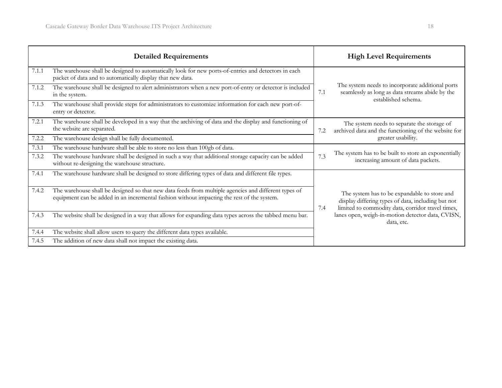|       | <b>Detailed Requirements</b>                                                                                                                                                                       |     | <b>High Level Requirements</b>                                                                                                                                                                                             |
|-------|----------------------------------------------------------------------------------------------------------------------------------------------------------------------------------------------------|-----|----------------------------------------------------------------------------------------------------------------------------------------------------------------------------------------------------------------------------|
| 7.1.1 | The warehouse shall be designed to automatically look for new ports-of-entries and detectors in each<br>packet of data and to automatically display that new data.                                 | 7.1 | The system needs to incorporate additional ports<br>seamlessly as long as data streams abide by the<br>established schema.                                                                                                 |
| 7.1.2 | The warehouse shall be designed to alert administrators when a new port-of-entry or detector is included<br>in the system.                                                                         |     |                                                                                                                                                                                                                            |
| 7.1.3 | The warehouse shall provide steps for administrators to customize information for each new port-of-<br>entry or detector.                                                                          |     |                                                                                                                                                                                                                            |
| 7.2.1 | The warehouse shall be developed in a way that the archiving of data and the display and functioning of<br>the website are separated.                                                              | 7.2 | The system needs to separate the storage of<br>archived data and the functioning of the website for<br>greater usability.                                                                                                  |
| 7.2.2 | The warehouse design shall be fully documented.                                                                                                                                                    |     |                                                                                                                                                                                                                            |
| 7.3.1 | The warehouse hardware shall be able to store no less than 100gb of data.                                                                                                                          |     |                                                                                                                                                                                                                            |
| 7.3.2 | The warehouse hardware shall be designed in such a way that additional storage capacity can be added<br>without re-designing the warehouse structure.                                              | 7.3 | The system has to be built to store an exponentially<br>increasing amount of data packets.                                                                                                                                 |
| 7.4.1 | The warehouse hardware shall be designed to store differing types of data and different file types.                                                                                                |     |                                                                                                                                                                                                                            |
| 7.4.2 | The warehouse shall be designed so that new data feeds from multiple agencies and different types of<br>equipment can be added in an incremental fashion without impacting the rest of the system. | 7.4 | The system has to be expandable to store and<br>display differing types of data, including but not<br>limited to commodity data, corridor travel times,<br>lanes open, weigh-in-motion detector data, CVISN,<br>data, etc. |
| 7.4.3 | The website shall be designed in a way that allows for expanding data types across the tabbed menu bar.                                                                                            |     |                                                                                                                                                                                                                            |
| 7.4.4 | The website shall allow users to query the different data types available.                                                                                                                         |     |                                                                                                                                                                                                                            |
| 7.4.5 | The addition of new data shall not impact the existing data.                                                                                                                                       |     |                                                                                                                                                                                                                            |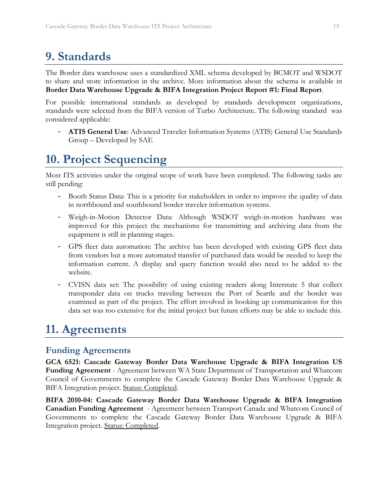# **9. Standards**

The Border data warehouse uses a standardized XML schema developed by BCMOT and WSDOT to share and store information in the archive. More information about the schema is available in **Border Data Warehouse Upgrade & BIFA Integration Project Report #1: Final Report**.

For possible international standards as developed by standards development organizations, standards were selected from the BIFA version of Turbo Architecture. The following standard was considered applicable:

- **ATIS General Use**: Advanced Traveler Information Systems (ATIS) General Use Standards Group – Developed by SAE

# **10. Project Sequencing**

Most ITS activities under the original scope of work have been completed. The following tasks are still pending:

- Booth Status Data: This is a priority for stakeholders in order to improve the quality of data in northbound and southbound border traveler information systems.
- Weigh-in-Motion Detector Data: Although WSDOT weigh-in-motion hardware was improved for this project the mechanisms for transmitting and archiving data from the equipment is still in planning stages.
- GPS fleet data automation: The archive has been developed with existing GPS fleet data from vendors but a more automated transfer of purchased data would be needed to keep the information current. A display and query function would also need to be added to the website.
- CVISN data set: The possibility of using existing readers along Interstate 5 that collect transponder data on trucks traveling between the Port of Seattle and the border was examined as part of the project. The effort involved in hooking up communication for this data set was too extensive for the initial project but future efforts may be able to include this.

# **11. Agreements**

### **Funding Agreements**

**GCA 6521: Cascade Gateway Border Data Warehouse Upgrade & BIFA Integration US Funding Agreement** - Agreement between WA State Department of Transportation and Whatcom Council of Governments to complete the Cascade Gateway Border Data Warehouse Upgrade & BIFA Integration project. Status: Completed.

**BIFA 2010-04: Cascade Gateway Border Data Warehouse Upgrade & BIFA Integration Canadian Funding Agreement** - Agreement between Transport Canada and Whatcom Council of Governments to complete the Cascade Gateway Border Data Warehouse Upgrade & BIFA Integration project. Status: Completed.